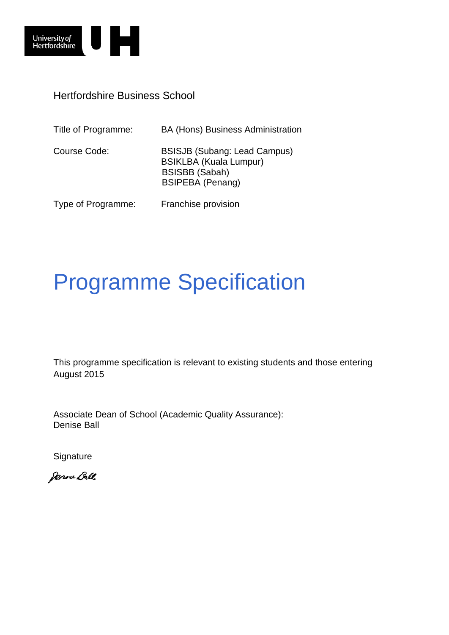

Hertfordshire Business School

| Title of Programme: | <b>BA (Hons) Business Administration</b>                                                                                 |
|---------------------|--------------------------------------------------------------------------------------------------------------------------|
| Course Code:        | <b>BSISJB (Subang: Lead Campus)</b><br><b>BSIKLBA (Kuala Lumpur)</b><br><b>BSISBB (Sabah)</b><br><b>BSIPEBA</b> (Penang) |
| Type of Programme:  | Franchise provision                                                                                                      |

# Programme Specification

This programme specification is relevant to existing students and those entering August 2015

Associate Dean of School (Academic Quality Assurance): Denise Ball

**Signature** 

Janne Ball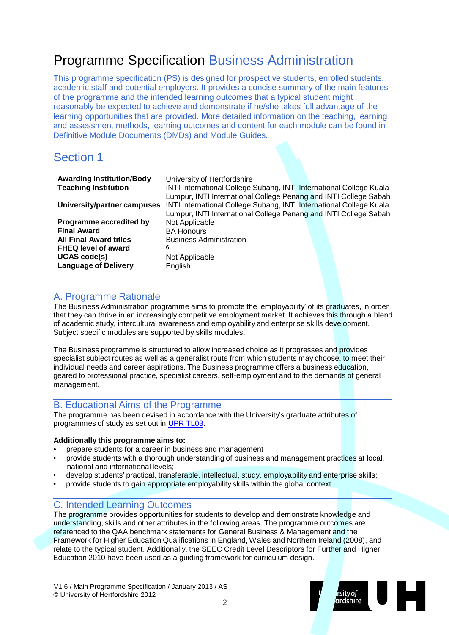# Programme Specification Business Administration

This programme specification (PS) is designed for prospective students, enrolled students, academic staff and potential employers. It provides a concise summary of the main features of the programme and the intended learning outcomes that a typical student might reasonably be expected to achieve and demonstrate if he/she takes full advantage of the learning opportunities that are provided. More detailed information on the teaching, learning and assessment methods, learning outcomes and content for each module can be found in Definitive Module Documents (DMDs) and Module Guides.

## Section 1

| <b>Awarding Institution/Body</b><br><b>Teaching Institution</b> | University of Hertfordshire<br>INTI International College Subang, INTI International College Kuala<br>Lumpur, INTI International College Penang and INTI College Sabah |  |
|-----------------------------------------------------------------|------------------------------------------------------------------------------------------------------------------------------------------------------------------------|--|
| University/partner campuses                                     | INTI International College Subang, INTI International College Kuala<br>Lumpur, INTI International College Penang and INTI College Sabah                                |  |
| Programme accredited by                                         | Not Applicable                                                                                                                                                         |  |
| <b>Final Award</b>                                              | <b>BA Honours</b>                                                                                                                                                      |  |
| <b>All Final Award titles</b>                                   | <b>Business Administration</b>                                                                                                                                         |  |
| <b>FHEQ level of award</b>                                      | 6                                                                                                                                                                      |  |
| <b>UCAS code(s)</b>                                             | Not Applicable                                                                                                                                                         |  |
| <b>Language of Delivery</b>                                     | English                                                                                                                                                                |  |

#### A. Programme Rationale

The Business Administration programme aims to promote the 'employability' of its graduates, in order that they can thrive in an increasingly competitive employment market. It achieves this through a blend of academic study, intercultural awareness and employability and enterprise skills development. Subject specific modules are supported by skills modules.

The Business programme is structured to allow increased choice as it progresses and provides specialist subject routes as well as a generalist route from which students may choose, to meet their individual needs and career aspirations. The Business programme offers a business education, geared to professional practice, specialist careers, self-employment and to the demands of general management.

#### B. Educational Aims of the Programme

The programme has been devised in accordance with the University's graduate attributes of programmes of study as set out in UPR [TL03.](http://sitem.herts.ac.uk/secreg/upr/TL03.htm)

#### **Additionally this programme aims to:**

- prepare students for a career in business and management
- provide students with a thorough understanding of business and management practices at local, national and international levels;
- develop students' practical, transferable, intellectual, study, employability and enterprise skills;
- provide students to gain appropriate employability skills within the global context

#### C. Intended Learning Outcomes

The programme provides opportunities for students to develop and demonstrate knowledge and understanding, skills and other attributes in the following areas. The programme outcomes are referenced to the QAA benchmark statements for General Business & Management and the Framework for Higher Education Qualifications in England, Wales and Northern Ireland (2008), and relate to the typical student. Additionally, the SEEC Credit Level Descriptors for Further and Higher Education 2010 have been used as a guiding framework for curriculum design.

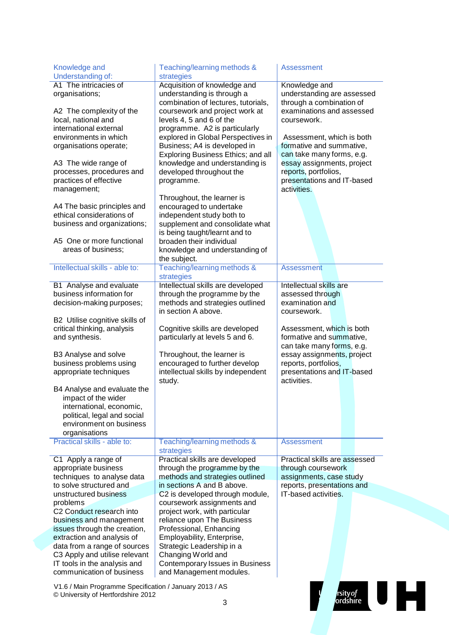| Knowledge and<br>Understanding of:                                                                                                                                                                                                                          | Teaching/learning methods &<br>strategies                                                                                                                                                                                                                           | <b>Assessment</b>                                                                                                            |
|-------------------------------------------------------------------------------------------------------------------------------------------------------------------------------------------------------------------------------------------------------------|---------------------------------------------------------------------------------------------------------------------------------------------------------------------------------------------------------------------------------------------------------------------|------------------------------------------------------------------------------------------------------------------------------|
| A1 The intricacies of<br>organisations;                                                                                                                                                                                                                     | Acquisition of knowledge and<br>understanding is through a<br>combination of lectures, tutorials,                                                                                                                                                                   | Knowledge and<br>understanding are assessed<br>through a combination of                                                      |
| A2 The complexity of the<br>local, national and<br>international external                                                                                                                                                                                   | coursework and project work at<br>levels 4, 5 and 6 of the<br>programme. A2 is particularly                                                                                                                                                                         | examinations and assessed<br>coursework.                                                                                     |
| environments in which<br>organisations operate;                                                                                                                                                                                                             | explored in Global Perspectives in<br>Business; A4 is developed in                                                                                                                                                                                                  | Assessment, which is both<br>formative and summative,                                                                        |
| A3 The wide range of<br>processes, procedures and<br>practices of effective<br>management;                                                                                                                                                                  | Exploring Business Ethics; and all<br>knowledge and understanding is<br>developed throughout the<br>programme.                                                                                                                                                      | can take many forms, e.g.<br>essay assignments, project<br>reports, portfolios,<br>presentations and IT-based<br>activities. |
| A4 The basic principles and<br>ethical considerations of<br>business and organizations;                                                                                                                                                                     | Throughout, the learner is<br>encouraged to undertake<br>independent study both to<br>supplement and consolidate what<br>is being taught/learnt and to                                                                                                              |                                                                                                                              |
| A5 One or more functional<br>areas of business;                                                                                                                                                                                                             | broaden their individual<br>knowledge and understanding of<br>the subject.                                                                                                                                                                                          |                                                                                                                              |
| Intellectual skills - able to:                                                                                                                                                                                                                              | Teaching/learning methods &<br>strategies                                                                                                                                                                                                                           | <b>Assessment</b>                                                                                                            |
| B1 Analyse and evaluate<br>business information for<br>decision-making purposes;                                                                                                                                                                            | Intellectual skills are developed<br>through the programme by the<br>methods and strategies outlined<br>in section A above.                                                                                                                                         | Intellectual skills are<br>assessed through<br>examination and<br>coursework.                                                |
| B2 Utilise cognitive skills of<br>critical thinking, analysis<br>and synthesis.                                                                                                                                                                             | Cognitive skills are developed<br>particularly at levels 5 and 6.                                                                                                                                                                                                   | Assessment, which is both<br>formative and summative,<br>can take many forms, e.g.                                           |
| B3 Analyse and solve<br>business problems using<br>appropriate techniques                                                                                                                                                                                   | Throughout, the learner is<br>encouraged to further develop<br>intellectual skills by independent<br>study.                                                                                                                                                         | essay assignments, project<br>reports, portfolios,<br>presentations and IT-based<br>activities.                              |
| B4 Analyse and evaluate the<br>impact of the wider<br>international, economic,<br>political, legal and social<br>environment on business<br>organisations                                                                                                   |                                                                                                                                                                                                                                                                     |                                                                                                                              |
| Practical skills - able to:                                                                                                                                                                                                                                 | Teaching/learning methods &<br>strategies                                                                                                                                                                                                                           | <b>Assessment</b>                                                                                                            |
| C1 Apply a range of<br>appropriate business<br>techniques to analyse data<br>to solve structured and                                                                                                                                                        | Practical skills are developed<br>through the programme by the<br>methods and strategies outlined<br>in sections A and B above.                                                                                                                                     | Practical skills are assessed<br>through coursework<br>assignments, case study<br>reports, presentations and                 |
| unstructured business                                                                                                                                                                                                                                       | C2 is developed through module,                                                                                                                                                                                                                                     | IT-based activities.                                                                                                         |
| problems<br>C2 Conduct research into<br>business and management<br>issues through the creation,<br>extraction and analysis of<br>data from a range of sources<br>C3 Apply and utilise relevant<br>IT tools in the analysis and<br>communication of business | coursework assignments and<br>project work, with particular<br>reliance upon The Business<br>Professional, Enhancing<br>Employability, Enterprise,<br>Strategic Leadership in a<br>Changing World and<br>Contemporary Issues in Business<br>and Management modules. |                                                                                                                              |
| V1.6 / Main Programme Specification / January 2013 / AS<br>© University of Hertfordshire 2012                                                                                                                                                               | 3                                                                                                                                                                                                                                                                   | rsity <i>of</i><br>ordshire                                                                                                  |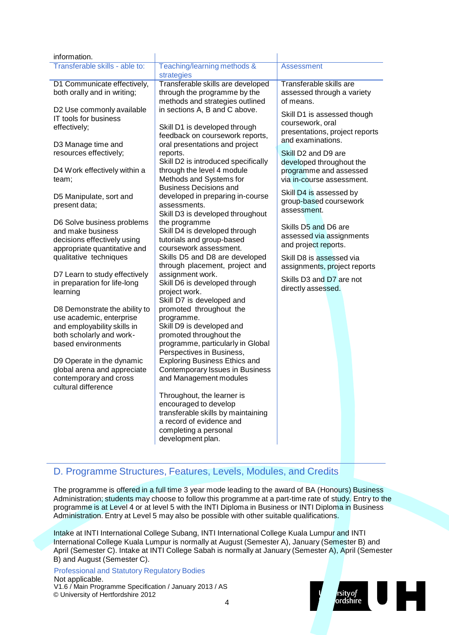| information.                   |                                      |                                |
|--------------------------------|--------------------------------------|--------------------------------|
| Transferable skills - able to: | Teaching/learning methods &          | Assessment                     |
|                                | strategies                           |                                |
| D1 Communicate effectively,    | Transferable skills are developed    | <b>Transferable skills are</b> |
| both orally and in writing;    | through the programme by the         | assessed through a variety     |
|                                | methods and strategies outlined      | of means.                      |
| D2 Use commonly available      | in sections A, B and C above.        |                                |
| <b>IT tools for business</b>   |                                      | Skill D1 is assessed though    |
| effectively;                   | Skill D1 is developed through        | coursework, oral               |
|                                | feedback on coursework reports,      | presentations, project reports |
| D3 Manage time and             | oral presentations and project       | and examinations.              |
| resources effectively;         | reports.                             | Skill D2 and D9 are            |
|                                | Skill D2 is introduced specifically  |                                |
| D4 Work effectively within a   | through the level 4 module           | developed throughout the       |
|                                |                                      | programme and assessed         |
| team;                          | Methods and Systems for              | via in-course assessment.      |
|                                | <b>Business Decisions and</b>        | Skill D4 is assessed by        |
| D5 Manipulate, sort and        | developed in preparing in-course     | group-based coursework         |
| present data;                  | assessments.                         | assessment.                    |
|                                | Skill D3 is developed throughout     |                                |
| D6 Solve business problems     | the programme                        | Skills D5 and D6 are           |
| and make business              | Skill D4 is developed through        | assessed via assignments       |
| decisions effectively using    | tutorials and group-based            | and project reports.           |
| appropriate quantitative and   | coursework assessment.               |                                |
| qualitative techniques         | Skills D5 and D8 are developed       | Skill D8 is assessed via       |
|                                | through placement, project and       | assignments, project reports   |
| D7 Learn to study effectively  | assignment work.                     | Skills D3 and D7 are not       |
| in preparation for life-long   | Skill D6 is developed through        | directly assessed.             |
| learning                       | project work.                        |                                |
|                                | Skill D7 is developed and            |                                |
| D8 Demonstrate the ability to  | promoted throughout the              |                                |
| use academic, enterprise       | programme.                           |                                |
| and employability skills in    | Skill D9 is developed and            |                                |
| both scholarly and work-       | promoted throughout the              |                                |
| based environments             | programme, particularly in Global    |                                |
|                                | Perspectives in Business,            |                                |
| D9 Operate in the dynamic      | <b>Exploring Business Ethics and</b> |                                |
| global arena and appreciate    | Contemporary Issues in Business      |                                |
| contemporary and cross         | and Management modules               |                                |
| cultural difference            |                                      |                                |
|                                | Throughout, the learner is           |                                |
|                                | encouraged to develop                |                                |
|                                | transferable skills by maintaining   |                                |
|                                | a record of evidence and             |                                |
|                                | completing a personal                |                                |
|                                | development plan.                    |                                |

### D. Programme Structures, Features, Levels, Modules, and Credits

The programme is offered in a full time 3 year mode leading to the award of BA (Honours) Business Administration; students may choose to follow this programme at a part-time rate of study. Entry to the programme is at Level 4 or at level 5 with the INTI Diploma in Business or INTI Diploma in Business Administration. Entry at Level 5 may also be possible with other suitable qualifications.

Intake at INTI International College Subang, INTI International College Kuala Lumpur and INTI International College Kuala Lumpur is normally at August (Semester A), January (Semester B) and April (Semester C). Intake at INTI College Sabah is normally at January (Semester A), April (Semester B) and August (Semester C).

V1.6 / Main Programme Specification / January 2013 / AS © University of Hertfordshire 2012 Professional and Statutory Regulatory Bodies Not applicable.

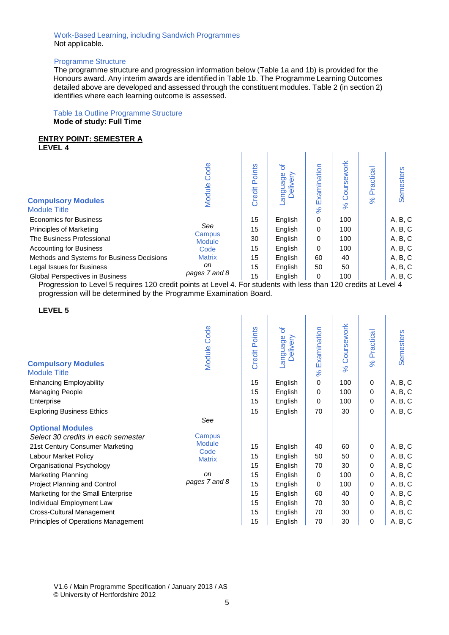#### Work-Based Learning, including Sandwich Programmes Not applicable.

#### Programme Structure

The programme structure and progression information below (Table 1a and 1b) is provided for the Honours award. Any interim awards are identified in Table 1b. The Programme Learning Outcomes detailed above are developed and assessed through the constituent modules. Table 2 (in section 2) identifies where each learning outcome is assessed.

#### Table 1a Outline Programme Structure **Mode of study: Full Time**

#### **ENTRY POINT: SEMESTER A**

**LEVEL 4**

| <b>Compulsory Modules</b><br><b>Module Title</b> | Code<br>Module          | oints<br>≏<br>Credit | ৳<br>≧<br>Ф<br>Benbue<br>ይ<br>高<br>○ | Examination<br>$\aleph$ | sework<br>ä<br>$\aleph$ | Practica<br>8 <sup>o</sup> | <b>Semesters</b> |
|--------------------------------------------------|-------------------------|----------------------|--------------------------------------|-------------------------|-------------------------|----------------------------|------------------|
| <b>Economics for Business</b>                    |                         | 15                   | English                              | $\Omega$                | 100                     |                            | A, B, C          |
| <b>Principles of Marketing</b>                   | See                     | 15                   | English                              | 0                       | 100                     |                            | A, B, C          |
| The Business Professional                        | Campus<br><b>Module</b> | 30                   | English                              | 0                       | 100                     |                            | A, B, C          |
| <b>Accounting for Business</b>                   | Code                    | 15                   | English                              | $\Omega$                | 100                     |                            | A, B, C          |
| Methods and Systems for Business Decisions       | <b>Matrix</b>           | 15                   | English                              | 60                      | 40                      |                            | A, B, C          |
| Legal Issues for Business                        | on                      | 15                   | English                              | 50                      | 50                      |                            | A, B, C          |
| <b>Global Perspectives in Business</b>           | pages 7 and 8           | 15                   | English                              | 0                       | 100                     |                            | A, B, C          |

Progression to Level 5 requires 120 credit points at Level 4. For students with less than 120 credits at Level 4 progression will be determined by the Programme Examination Board.

#### **LEVEL 5**

| <b>Compulsory Modules</b><br><b>Module Title</b>              | Code<br>Module        | <b>Credit Points</b> | ð<br>Delivery<br>anguage | Examination<br>8 <sup>o</sup> | Coursework<br>$\aleph$ | Practical<br>$\aleph$ | <b>Semesters</b> |
|---------------------------------------------------------------|-----------------------|----------------------|--------------------------|-------------------------------|------------------------|-----------------------|------------------|
| <b>Enhancing Employability</b>                                |                       | 15                   | English                  | $\mathbf 0$                   | 100                    | 0                     | A, B, C          |
| <b>Managing People</b>                                        |                       | 15                   | English                  | $\mathbf 0$                   | 100                    | 0                     | A, B, C          |
| Enterprise                                                    |                       | 15                   | English                  | $\Omega$                      | 100                    | 0                     | A, B, C          |
| <b>Exploring Business Ethics</b>                              |                       | 15                   | English                  | 70                            | 30                     | 0                     | A, B, C          |
| <b>Optional Modules</b><br>Select 30 credits in each semester | See<br>Campus         |                      |                          |                               |                        |                       |                  |
| 21st Century Consumer Marketing                               | <b>Module</b><br>Code | 15                   | English                  | 40                            | 60                     | 0                     | A, B, C          |
| Labour Market Policy                                          | <b>Matrix</b>         | 15                   | English                  | 50                            | 50                     | 0                     | A, B, C          |
| Organisational Psychology                                     |                       | 15                   | English                  | 70                            | 30                     | 0                     | A, B, C          |
| Marketing Planning                                            | <b>on</b>             | 15                   | English                  | $\mathbf 0$                   | 100                    | 0                     | A, B, C          |
| Project Planning and Control                                  | pages 7 and 8         | 15                   | English                  | $\Omega$                      | 100                    | 0                     | A, B, C          |
| Marketing for the Small Enterprise                            |                       | 15                   | English                  | 60                            | 40                     | 0                     | A, B, C          |
| Individual Employment Law                                     |                       | 15                   | English                  | 70                            | 30                     | 0                     | A, B, C          |
| <b>Cross-Cultural Management</b>                              |                       | 15                   | English                  | 70                            | 30                     | 0                     | A, B, C          |
| Principles of Operations Management                           |                       | 15                   | English                  | 70                            | 30                     | 0                     | A, B, C          |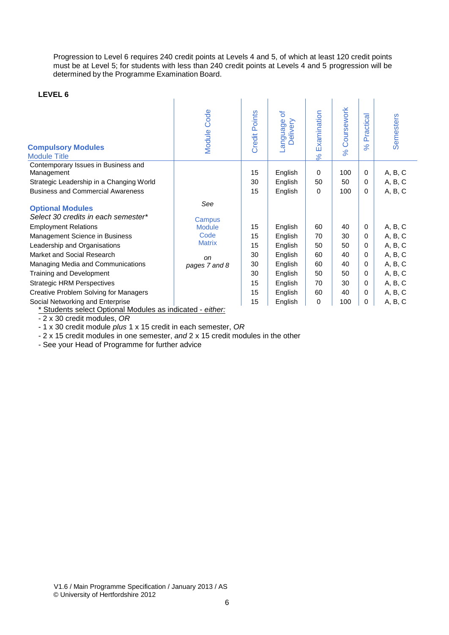Progression to Level 6 requires 240 credit points at Levels 4 and 5, of which at least 120 credit points must be at Level 5; for students with less than 240 credit points at Levels 4 and 5 progression will be determined by the Programme Examination Board.

#### **LEVEL 6**

| LEVEL 6                                                        |                |                      |                                  |                         |                        |                           |           |
|----------------------------------------------------------------|----------------|----------------------|----------------------------------|-------------------------|------------------------|---------------------------|-----------|
| <b>Compulsory Modules</b><br><b>Module Title</b>               | Code<br>Module | <b>Credit Points</b> | ৳<br>Delivery<br><b>Panguage</b> | Examination<br>$\aleph$ | Coursework<br>$\aleph$ | ctical<br>Pra<br>$\aleph$ | Semesters |
| Contemporary Issues in Business and<br>Management              |                | 15                   | English                          | 0                       | 100                    | 0                         | A, B, C   |
| Strategic Leadership in a Changing World                       |                | 30                   | English                          | 50                      | 50                     | 0                         | A, B, C   |
| <b>Business and Commercial Awareness</b>                       |                | 15                   | English                          | 0                       | 100                    | 0                         | A, B, C   |
| <b>Optional Modules</b><br>Select 30 credits in each semester* | See<br>Campus  |                      |                                  |                         |                        |                           |           |
| <b>Employment Relations</b>                                    | <b>Module</b>  | 15                   | English                          | 60                      | 40                     | 0                         | A, B, C   |
| Management Science in Business                                 | Code           | 15                   | English                          | 70                      | 30                     | 0                         | A, B, C   |
| Leadership and Organisations                                   | <b>Matrix</b>  | 15                   | English                          | 50                      | 50                     | 0                         | A, B, C   |
| Market and Social Research                                     | on             | 30                   | English                          | 60                      | 40                     | 0                         | A, B, C   |
| Managing Media and Communications                              | pages 7 and 8  | 30                   | English                          | 60                      | 40                     | 0                         | A, B, C   |
| Training and Development                                       |                | 30                   | English                          | 50                      | 50                     | 0                         | A, B, C   |
| <b>Strategic HRM Perspectives</b>                              |                | 15                   | English                          | 70                      | 30                     | 0                         | A, B, C   |
| Creative Problem Solving for Managers                          |                | 15                   | English                          | 60                      | 40                     | 0                         | A, B, C   |
| Social Networking and Enterprise                               |                | 15                   | English                          | 0                       | 100                    | 0                         | A, B, C   |

\* Students select Optional Modules as indicated - *either:*

- 2 x 30 credit modules, *OR*

- 1 x 30 credit module *plus* 1 x 15 credit in each semester, *OR*

- 2 x 15 credit modules in one semester, *and* 2 x 15 credit modules in the other

- See your Head of Programme for further advice

V1.6 / Main Programme Specification / January 2013 / AS © University of Hertfordshire 2012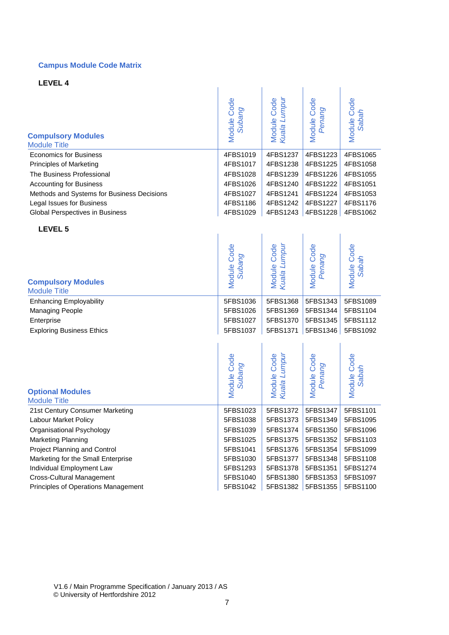#### **Campus Module Code Matrix**

**LEVEL 4**

| <b>Compulsory Modules</b>                  | Module Code        | Kuala Lumpur | Module Code | Module Code |
|--------------------------------------------|--------------------|--------------|-------------|-------------|
| <b>Module Title</b>                        | Subang             | Module Code  | Penang      | Sabah       |
| <b>Economics for Business</b>              | 4FBS1019           | 4FBS1237     | 4FBS1223    | 4FBS1065    |
| Principles of Marketing                    | 4FBS1017           | 4FBS1238     | 4FBS1225    | 4FBS1058    |
| The Business Professional                  | 4FBS1028           | 4FBS1239     | 4FBS1226    | 4FBS1055    |
| <b>Accounting for Business</b>             | 4FBS1026           | 4FBS1240     | 4FBS1222    | 4FBS1051    |
| Methods and Systems for Business Decisions | 4FBS1027           | 4FBS1241     | 4FBS1224    | 4FBS1053    |
| Legal Issues for Business                  | 4FBS1186           | 4FBS1242     | 4FBS1227    | 4FBS1176    |
| Global Perspectives in Business            | 4FBS1029           | 4FBS1243     | 4FBS1228    | 4FBS1062    |
| LEVEL 5                                    |                    |              |             |             |
| <b>Compulsory Modules</b>                  | Module Code        | Module Code  | Module Code | Module Code |
| <b>Module Title</b>                        | Subang             | Kuala Lumpul | Penang      | Sabah       |
| <b>Enhancing Employability</b>             | 5FBS1036           | 5FBS1368     | 5FBS1343    | 5FBS1089    |
| <b>Managing People</b>                     | 5FBS1026           | 5FBS1369     | 5FBS1344    | 5FBS1104    |
| Enterprise                                 | 5FBS1027           | 5FBS1370     | 5FBS1345    | 5FBS1112    |
| <b>Exploring Business Ethics</b>           | 5FBS1037           | 5FBS1371     | 5FBS1346    | 5FBS1092    |
| <b>Optional Modules</b>                    | <b>Module Code</b> | Module Code  | Module Code | Module Code |
| <b>Module Title</b>                        | Subang             | Kuala Lumpul | Penang      | Sabah       |
| 21st Century Consumer Marketing            | 5FBS1023           | 5FBS1372     | 5FBS1347    | 5FBS1101    |
| Labour Market Policy                       | 5FBS1038           | 5FBS1373     | 5FBS1349    | 5FBS1095    |
| Organisational Psychology                  | 5FBS1039           | 5FBS1374     | 5FBS1350    | 5FBS1096    |
| <b>Marketing Planning</b>                  | 5FBS1025           | 5FBS1375     | 5FBS1352    | 5FBS1103    |
| Project Planning and Control               | 5FBS1041           | 5FBS1376     | 5FBS1354    | 5FBS1099    |
| Marketing for the Small Enterprise         | 5FBS1030           | 5FBS1377     | 5FBS1348    | 5FBS1108    |
| Individual Employment Law                  | 5FBS1293           | 5FBS1378     | 5FBS1351    | 5FBS1274    |

Cross-Cultural Management 1980 1991 1992 5FBS1040 5FBS1380 5FBS1353 5FBS1097 Principles of Operations Management 6Th SEBS1042 | 5FBS1382 5FBS1355 5FBS1100

V1.6 / Main Programme Specification / January 2013 / AS © University of Hertfordshire 2012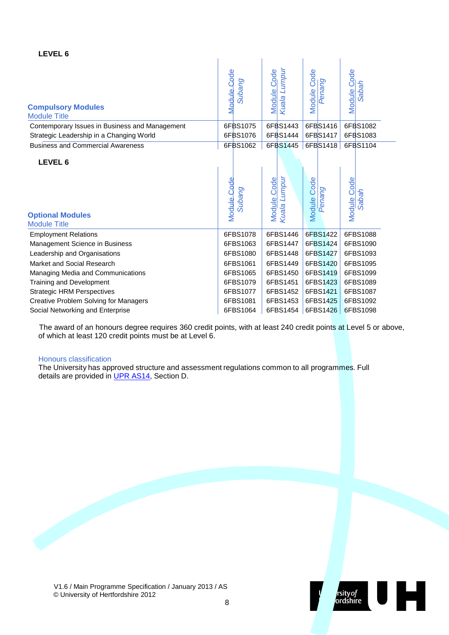#### **LEVEL 6**

| <b>Compulsory Modules</b><br><b>Module Title</b>          | Module Code<br>Subang        | Kuala Lumpur<br><b>Module Code</b>  | Module Code<br>Penang        | Module Code<br><b>Sabah</b> |
|-----------------------------------------------------------|------------------------------|-------------------------------------|------------------------------|-----------------------------|
| Contemporary Issues in Business and Management            | 6FBS1075                     | 6FBS1443                            | 6FBS1416                     | 6FBS1082                    |
| Strategic Leadership in a Changing World                  | 6FBS1076                     | 6FBS1444                            | 6FBS1417                     | 6FBS1083                    |
| <b>Business and Commercial Awareness</b>                  | 6FBS1062                     | 6FBS1445                            | 6FBS1418                     | 6FBS1104                    |
| LEVEL 6<br><b>Optional Modules</b><br><b>Module Title</b> | <b>Module Code</b><br>Subang | Mod <u>ule Code</u><br>Kuala Lumpur | <b>Module Code</b><br>Penang | Module Code<br><b>Sabah</b> |
| <b>Employment Relations</b>                               | 6FBS1078                     | 6FBS1446                            | 6FBS1422                     | 6FBS1088                    |
| Management Science in Business                            | 6FBS1063                     | 6FBS1447                            | 6FBS1424                     | 6FBS1090                    |
| Leadership and Organisations                              | 6FBS1080                     | 6FBS1448                            | 6FBS1427                     | 6FBS1093                    |
| Market and Social Research                                | 6FBS1061                     | 6FBS1449                            | 6FBS1420                     | 6FBS1095                    |
| Managing Media and Communications                         | 6FBS1065                     | 6FBS1450                            | 6FBS1419                     | 6FBS1099                    |
| Training and Development                                  | 6FBS1079                     | 6FBS1451                            | 6FBS1423                     | 6FBS1089                    |
| <b>Strategic HRM Perspectives</b>                         | 6FBS1077                     | 6FBS1452                            | 6FBS1421                     | 6FBS1087                    |
| <b>Creative Problem Solving for Managers</b>              | 6FBS1081                     | 6FBS1453                            | 6FBS1425                     | 6FBS1092                    |
| Social Networking and Enterprise                          | 6FBS1064                     | 6FBS1454                            | 6FBS1426                     | 6FBS1098                    |

The award of an honours degree requires 360 credit points, with at least 240 credit points at Level 5 or above, of which at least 120 credit points must be at Level 6.

#### Honours classification

The University has approved structure and assessment regulations common to all programmes. Full details are provided in UPR [AS14,](http://sitem.herts.ac.uk/secreg/upr/pdf/AS14-Structure%20and%20Assessment%20Regs%20-%20Undergrad%20and%20Taught%20Postgrad%20Programmes-v04%200.pdf) Section D.

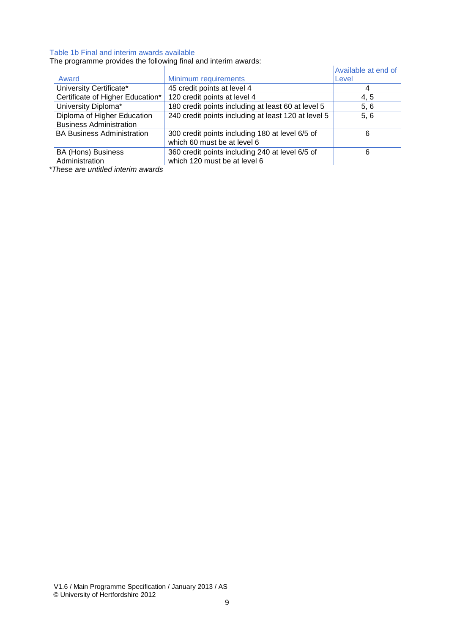#### Table 1b Final and interim awards available

The programme provides the following final and interim awards:

| File programme provides the following milar and internit awards. |                                                                                 |                     |  |  |  |  |  |  |
|------------------------------------------------------------------|---------------------------------------------------------------------------------|---------------------|--|--|--|--|--|--|
|                                                                  |                                                                                 | Available at end of |  |  |  |  |  |  |
| Award                                                            | Minimum requirements                                                            | Level               |  |  |  |  |  |  |
| University Certificate*                                          | 45 credit points at level 4                                                     |                     |  |  |  |  |  |  |
| Certificate of Higher Education*                                 | 120 credit points at level 4                                                    | 4, 5                |  |  |  |  |  |  |
| University Diploma*                                              | 180 credit points including at least 60 at level 5                              | 5, 6                |  |  |  |  |  |  |
| Diploma of Higher Education<br><b>Business Administration</b>    | 240 credit points including at least 120 at level 5                             | 5, 6                |  |  |  |  |  |  |
| <b>BA Business Administration</b>                                | 300 credit points including 180 at level 6/5 of<br>which 60 must be at level 6  | 6                   |  |  |  |  |  |  |
| BA (Hons) Business<br>Administration                             | 360 credit points including 240 at level 6/5 of<br>which 120 must be at level 6 | 6                   |  |  |  |  |  |  |

*\*These are untitled interim awards*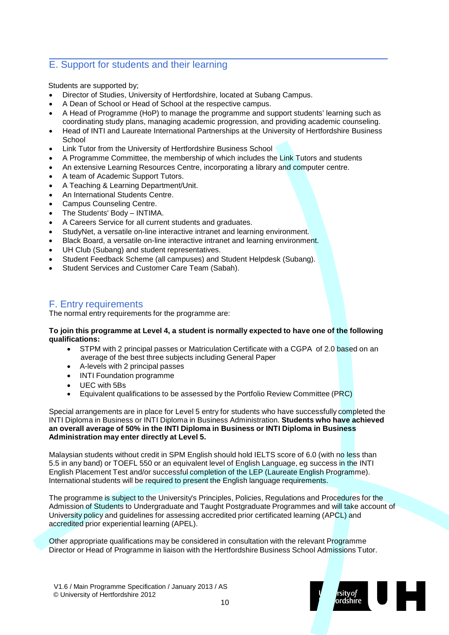### E. Support for students and their learning

Students are supported by;

- Director of Studies, University of Hertfordshire, located at Subang Campus.
- A Dean of School or Head of School at the respective campus.
- A Head of Programme (HoP) to manage the programme and support students' learning such as coordinating study plans, managing academic progression, and providing academic counseling.
- Head of INTI and Laureate International Partnerships at the University of Hertfordshire Business **School**
- Link Tutor from the University of Hertfordshire Business School
- A Programme Committee, the membership of which includes the Link Tutors and students
- An extensive Learning Resources Centre, incorporating a library and computer centre.
- A team of Academic Support Tutors.
- A Teaching & Learning Department/Unit.
- An International Students Centre.
- Campus Counseling Centre.
- The Students' Body INTIMA.
- A Careers Service for all current students and graduates.
- StudyNet, a versatile on-line interactive intranet and learning environment.
- Black Board, a versatile on-line interactive intranet and learning environment.
- UH Club (Subang) and student representatives.
- Student Feedback Scheme (all campuses) and Student Helpdesk (Subang).
- Student Services and Customer Care Team (Sabah).

#### F. Entry requirements

The normal entry requirements for the programme are:

#### **To join this programme at Level 4, a student is normally expected to have one of the following qualifications:**

- STPM with 2 principal passes or Matriculation Certificate with a CGPA of 2.0 based on an average of the best three subjects including General Paper
- A-levels with 2 principal passes
- INTI Foundation programme
- UEC with 5Bs
- Equivalent qualifications to be assessed by the Portfolio Review Committee (PRC)

Special arrangements are in place for Level 5 entry for students who have successfully completed the INTI Diploma in Business or INTI Diploma in Business Administration. **Students who have achieved an overall average of 50% in the INTI Diploma in Business or INTI Diploma in Business Administration may enter directly at Level 5.**

Malaysian students without credit in SPM English should hold IELTS score of 6.0 (with no less than 5.5 in any band) or TOEFL 550 or an equivalent level of English Language, eg success in the INTI English Placement Test and/or successful completion of the LEP (Laureate English Programme). International students will be required to present the English language requirements.

The programme is subject to the University's Principles, Policies, Regulations and Procedures for the Admission of Students to Undergraduate and Taught Postgraduate Programmes and will take account of University policy and guidelines for assessing accredited prior certificated learning (APCL) and accredited prior experiential learning (APEL).

Other appropriate qualifications may be considered in consultation with the relevant Programme Director or Head of Programme in liaison with the Hertfordshire Business School Admissions Tutor.

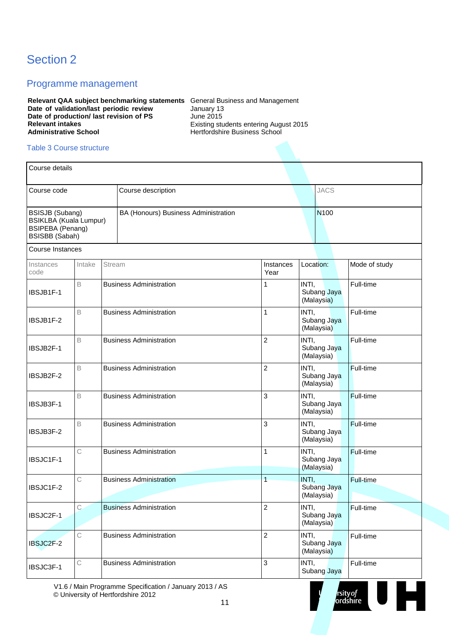# Section 2

#### Programme management

**Relevant QAA subject benchmarking statements** General Business and Management **Date of validation/last periodic review Date of production/ last revision of PS Relevant intakes Administrative School**

January 13 June 2015 Existing students entering August 2015 Hertfordshire Business School

#### Table 3 Course structure

| Course details                                                                                       |             |        |                                      |                   |                                    |                  |
|------------------------------------------------------------------------------------------------------|-------------|--------|--------------------------------------|-------------------|------------------------------------|------------------|
| Course code                                                                                          |             |        | Course description                   |                   | <b>JACS</b>                        |                  |
| BSISJB (Subang)<br><b>BSIKLBA (Kuala Lumpur)</b><br><b>BSIPEBA</b> (Penang)<br><b>BSISBB</b> (Sabah) |             |        | BA (Honours) Business Administration |                   | N <sub>100</sub>                   |                  |
| Course Instances                                                                                     |             |        |                                      |                   |                                    |                  |
| Instances<br>code                                                                                    | Intake      | Stream |                                      | Instances<br>Year | Location:                          | Mode of study    |
| IBSJB1F-1                                                                                            | $\mathsf B$ |        | <b>Business Administration</b>       | 1                 | INTI,<br>Subang Jaya<br>(Malaysia) | Full-time        |
| IBSJB1F-2                                                                                            | B           |        | <b>Business Administration</b>       | 1                 | INTI,<br>Subang Jaya<br>(Malaysia) | Full-time        |
| IBSJB2F-1                                                                                            | B           |        | <b>Business Administration</b>       | $\overline{c}$    | INTI,<br>Subang Jaya<br>(Malaysia) | Full-time        |
| IBSJB2F-2                                                                                            | B           |        | <b>Business Administration</b>       | $\overline{c}$    | INTI,<br>Subang Jaya<br>(Malaysia) | <b>Full-time</b> |
| IBSJB3F-1                                                                                            | B           |        | <b>Business Administration</b>       | 3                 | INTI,<br>Subang Jaya<br>(Malaysia) | Full-time        |
| IBSJB3F-2                                                                                            | B           |        | <b>Business Administration</b>       | 3                 | INTI,<br>Subang Jaya<br>(Malaysia) | Full-time        |
| IBSJC1F-1                                                                                            | С           |        | <b>Business Administration</b>       | 1                 | INTI,<br>Subang Jaya<br>(Malaysia) | Full-time        |
| IBSJC1F-2                                                                                            | C           |        | <b>Business Administration</b>       | 1                 | INTI,<br>Subang Jaya<br>(Malaysia) | Full-time        |
| IBSJC2F-1                                                                                            | $\mathsf C$ |        | <b>Business Administration</b>       | 2                 | INTI,<br>Subang Jaya<br>(Malaysia) | Full-time        |
| IBSJC2F-2                                                                                            | $\mathsf C$ |        | <b>Business Administration</b>       | $\overline{c}$    | INTI,<br>Subang Jaya<br>(Malaysia) | Full-time        |
| IBSJC3F-1                                                                                            | С           |        | <b>Business Administration</b>       | 3                 | INTI,<br>Subang Jaya               | Full-time        |

rsity of<br>ordshire

E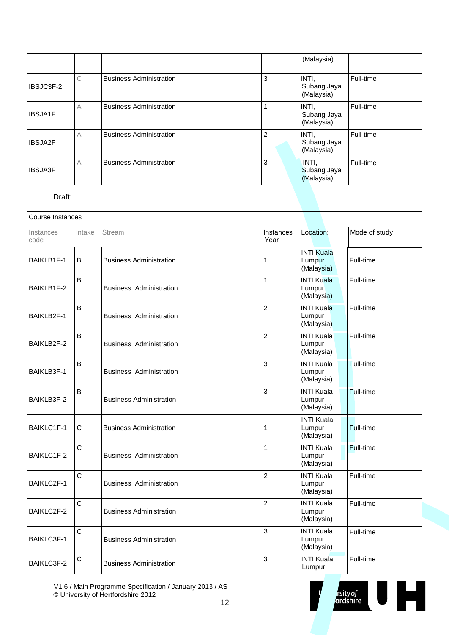|                |   |                                |                | (Malaysia)                         |           |
|----------------|---|--------------------------------|----------------|------------------------------------|-----------|
| IBSJC3F-2      | C | <b>Business Administration</b> | 3              | INTI,<br>Subang Jaya<br>(Malaysia) | Full-time |
| <b>IBSJA1F</b> | A | <b>Business Administration</b> |                | INTI,<br>Subang Jaya<br>(Malaysia) | Full-time |
| IBSJA2F        | А | <b>Business Administration</b> | $\overline{2}$ | INTI,<br>Subang Jaya<br>(Malaysia) | Full-time |
| <b>IBSJA3F</b> | A | <b>Business Administration</b> | 3              | INTI.<br>Subang Jaya<br>(Malaysia) | Full-time |

#### Draft:

| <b>Course Instances</b> |              |                                |                   |                                           |                  |  |  |  |  |  |
|-------------------------|--------------|--------------------------------|-------------------|-------------------------------------------|------------------|--|--|--|--|--|
| Instances<br>code       | Intake       | Stream                         | Instances<br>Year | Location:                                 | Mode of study    |  |  |  |  |  |
| BAIKLB1F-1              | B            | <b>Business Administration</b> | 1                 | <b>INTI Kuala</b><br>Lumpur<br>(Malaysia) | Full-time        |  |  |  |  |  |
| BAIKLB1F-2              | B            | <b>Business Administration</b> | 1                 | <b>INTI Kuala</b><br>Lumpur<br>(Malaysia) | Full-time        |  |  |  |  |  |
| BAIKLB2F-1              | B            | <b>Business Administration</b> | $\overline{2}$    | <b>INTI Kuala</b><br>Lumpur<br>(Malaysia) | Full-time        |  |  |  |  |  |
| BAIKLB2F-2              | B            | <b>Business Administration</b> | $\overline{2}$    | <b>INTI Kuala</b><br>Lumpur<br>(Malaysia) | Full-time        |  |  |  |  |  |
| BAIKLB3F-1              | B            | <b>Business Administration</b> | 3                 | <b>INTI Kuala</b><br>Lumpur<br>(Malaysia) | <b>Full-time</b> |  |  |  |  |  |
| BAIKLB3F-2              | B            | <b>Business Administration</b> | 3                 | <b>INTI Kuala</b><br>Lumpur<br>(Malaysia) | Full-time        |  |  |  |  |  |
| BAIKLC1F-1              | $\mathbf C$  | <b>Business Administration</b> | 1                 | <b>INTI Kuala</b><br>Lumpur<br>(Malaysia) | Full-time        |  |  |  |  |  |
| BAIKLC1F-2              | $\mathsf{C}$ | <b>Business Administration</b> | 1                 | <b>INTI Kuala</b><br>Lumpur<br>(Malaysia) | <b>Full-time</b> |  |  |  |  |  |
| BAIKLC2F-1              | C            | <b>Business Administration</b> | $\overline{2}$    | <b>INTI Kuala</b><br>Lumpur<br>(Malaysia) | Full-time        |  |  |  |  |  |
| BAIKLC2F-2              | C            | <b>Business Administration</b> | $\overline{c}$    | <b>INTI Kuala</b><br>Lumpur<br>(Malaysia) | Full-time        |  |  |  |  |  |
| BAIKLC3F-1              | C            | <b>Business Administration</b> | 3                 | <b>INTI Kuala</b><br>Lumpur<br>(Malaysia) | Full-time        |  |  |  |  |  |
| BAIKLC3F-2              | С            | <b>Business Administration</b> | 3                 | <b>INTI Kuala</b><br>Lumpur               | Full-time        |  |  |  |  |  |

V1.6 / Main Programme Specification / January 2013 / AS © University of Hertfordshire 2012

rsity of the control of the control of the control of the control of the control of the control of the control of the control of the control of the control of the control of the control of the control of the control of the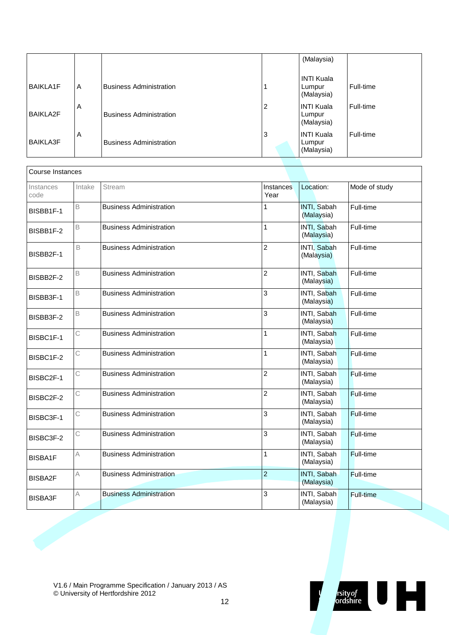|                 |   |                                |   | (Malaysia)                                |           |
|-----------------|---|--------------------------------|---|-------------------------------------------|-----------|
| <b>BAIKLA1F</b> | A | <b>Business Administration</b> |   | <b>INTI Kuala</b><br>Lumpur<br>(Malaysia) | Full-time |
| <b>BAIKLA2F</b> | Α | <b>Business Administration</b> | 2 | INTI Kuala<br>Lumpur<br>(Malaysia)        | Full-time |
| <b>BAIKLA3F</b> | A | <b>Business Administration</b> | 3 | INTI Kuala<br>Lumpur<br>(Malaysia)        | Full-time |

| Course Instances  |        |                                |                   |                           |                  |  |  |  |  |  |
|-------------------|--------|--------------------------------|-------------------|---------------------------|------------------|--|--|--|--|--|
| Instances<br>code | Intake | Stream                         | Instances<br>Year | Location:                 | Mode of study    |  |  |  |  |  |
| BISBB1F-1         | B      | <b>Business Administration</b> | 1                 | INTI, Sabah<br>(Malaysia) | Full-time        |  |  |  |  |  |
| BISBB1F-2         | B      | <b>Business Administration</b> | 1                 | INTI, Sabah<br>(Malaysia) | Full-time        |  |  |  |  |  |
| BISBB2F-1         | B      | <b>Business Administration</b> | $\overline{2}$    | INTI, Sabah<br>(Malaysia) | Full-time        |  |  |  |  |  |
| BISBB2F-2         | B      | <b>Business Administration</b> | $\overline{2}$    | INTI, Sabah<br>(Malaysia) | Full-time        |  |  |  |  |  |
| BISBB3F-1         | B      | <b>Business Administration</b> | 3                 | INTI, Sabah<br>(Malaysia) | Full-time        |  |  |  |  |  |
| BISBB3F-2         | B      | <b>Business Administration</b> | 3                 | INTI, Sabah<br>(Malaysia) | Full-time        |  |  |  |  |  |
| BISBC1F-1         | С      | <b>Business Administration</b> | 1                 | INTI, Sabah<br>(Malaysia) | Full-time        |  |  |  |  |  |
| BISBC1F-2         | С      | <b>Business Administration</b> | 1                 | INTI, Sabah<br>(Malaysia) | <b>Full-time</b> |  |  |  |  |  |
| BISBC2F-1         | С      | <b>Business Administration</b> | $\overline{2}$    | INTI, Sabah<br>(Malaysia) | Full-time        |  |  |  |  |  |
| BISBC2F-2         | С      | <b>Business Administration</b> | $\overline{2}$    | INTI, Sabah<br>(Malaysia) | Full-time        |  |  |  |  |  |
| BISBC3F-1         | C      | <b>Business Administration</b> | 3                 | INTI, Sabah<br>(Malaysia) | Full-time        |  |  |  |  |  |
| BISBC3F-2         | С      | <b>Business Administration</b> | 3                 | INTI, Sabah<br>(Malaysia) | Full-time        |  |  |  |  |  |
| <b>BISBA1F</b>    | Α      | <b>Business Administration</b> | 1                 | INTI, Sabah<br>(Malaysia) | Full-time        |  |  |  |  |  |
| <b>BISBA2F</b>    | А      | <b>Business Administration</b> | $\overline{2}$    | INTI, Sabah<br>(Malaysia) | Full-time        |  |  |  |  |  |
| <b>BISBA3F</b>    | А      | <b>Business Administration</b> | 3                 | INTI, Sabah<br>(Malaysia) | Full-time        |  |  |  |  |  |

V1.6 / Main Programme Specification / January 2013 / AS © University of Hertfordshire 2012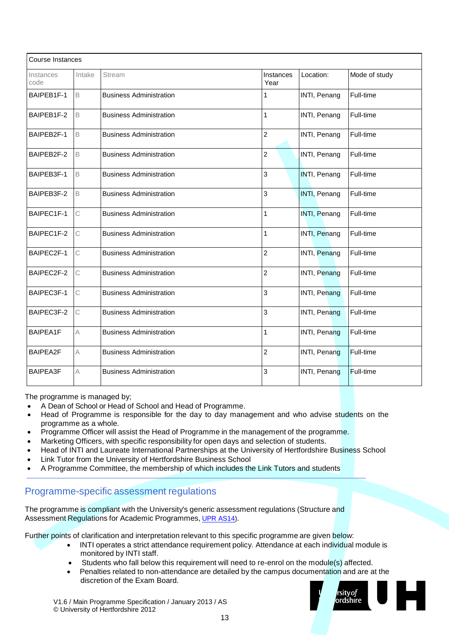| <b>Course Instances</b> |             |                                |                   |              |                  |  |  |  |  |  |  |
|-------------------------|-------------|--------------------------------|-------------------|--------------|------------------|--|--|--|--|--|--|
| Instances<br>code       | Intake      | Stream                         | Instances<br>Year | Location:    | Mode of study    |  |  |  |  |  |  |
| BAIPEB1F-1              | $\mathsf B$ | <b>Business Administration</b> | 1                 | INTI, Penang | Full-time        |  |  |  |  |  |  |
| BAIPEB1F-2              | B           | <b>Business Administration</b> | $\mathbf{1}$      | INTI, Penang | Full-time        |  |  |  |  |  |  |
| BAIPEB2F-1              | B           | <b>Business Administration</b> | $\overline{2}$    | INTI, Penang | Full-time        |  |  |  |  |  |  |
| BAIPEB2F-2              | B           | <b>Business Administration</b> | $\overline{2}$    | INTI, Penang | Full-time        |  |  |  |  |  |  |
| BAIPEB3F-1              | B           | <b>Business Administration</b> | 3                 | INTI, Penang | Full-time        |  |  |  |  |  |  |
| BAIPEB3F-2              | B           | <b>Business Administration</b> | 3                 | INTI, Penang | Full-time        |  |  |  |  |  |  |
| BAIPEC1F-1              | С           | <b>Business Administration</b> | $\mathbf{1}$      | INTI, Penang | Full-time        |  |  |  |  |  |  |
| BAIPEC1F-2              | C           | <b>Business Administration</b> | 1                 | INTI, Penang | Full-time        |  |  |  |  |  |  |
| BAIPEC2F-1              | C.          | <b>Business Administration</b> | $\overline{2}$    | INTI, Penang | Full-time        |  |  |  |  |  |  |
| BAIPEC2F-2              | C           | <b>Business Administration</b> | $\overline{c}$    | INTI, Penang | Full-time        |  |  |  |  |  |  |
| BAIPEC3F-1              | C           | <b>Business Administration</b> | 3                 | INTI, Penang | Full-time        |  |  |  |  |  |  |
| BAIPEC3F-2              | C           | <b>Business Administration</b> | 3                 | INTI, Penang | Full-time        |  |  |  |  |  |  |
| <b>BAIPEA1F</b>         | A           | <b>Business Administration</b> | 1                 | INTI, Penang | Full-time        |  |  |  |  |  |  |
| <b>BAIPEA2F</b>         | $\wedge$    | <b>Business Administration</b> | $\overline{2}$    | INTI, Penang | <b>Full-time</b> |  |  |  |  |  |  |
| <b>BAIPEA3F</b>         | А           | <b>Business Administration</b> | 3                 | INTI, Penang | <b>Full-time</b> |  |  |  |  |  |  |

The programme is managed by;

- A Dean of School or Head of School and Head of Programme.
- Head of Programme is responsible for the day to day management and who advise students on the programme as a whole.
- Programme Officer will assist the Head of Programme in the management of the programme.
- Marketing Officers, with specific responsibility for open days and selection of students.
- Head of INTI and Laureate International Partnerships at the University of Hertfordshire Business School
- Link Tutor from the University of Hertfordshire Business School
- A Programme Committee, the membership of which includes the Link Tutors and students

#### Programme-specific assessment regulations

The programme is compliant with the University's generic assessment regulations (Structure and Assessment Regulations for Academic Programmes, [UPR AS14\)](http://sitem.herts.ac.uk/secreg/upr/AS14.htm).

Further points of clarification and interpretation relevant to this specific programme are given below:

- INTI operates a strict attendance requirement policy. Attendance at each individual module is monitored by INTI staff.
- Students who fall below this requirement will need to re-enrol on the module(s) affected.
- Penalties related to non-attendance are detailed by the campus documentation and are at the discretion of the Exam Board.



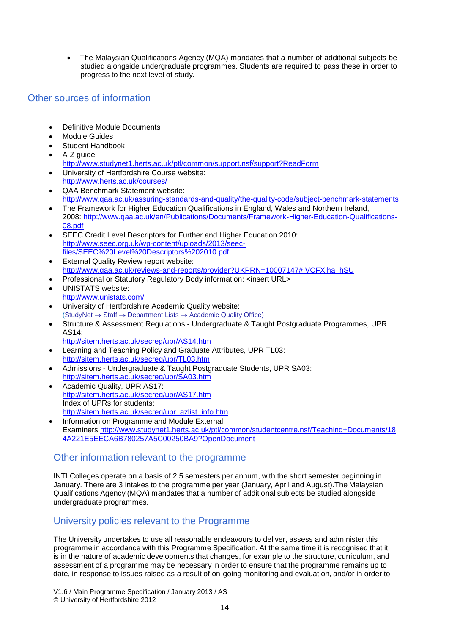• The Malaysian Qualifications Agency (MQA) mandates that a number of additional subjects be studied alongside undergraduate programmes. Students are required to pass these in order to progress to the next level of study.

#### Other sources of information

- Definitive Module Documents
- **Module Guides**
- Student Handbook
- A-Z guide <http://www.studynet1.herts.ac.uk/ptl/common/support.nsf/support?ReadForm>
- University of Hertfordshire Course website: <http://www.herts.ac.uk/courses/>
- QAA Benchmark Statement website: <http://www.qaa.ac.uk/assuring-standards-and-quality/the-quality-code/subject-benchmark-statements>
- The Framework for Higher Education Qualifications in England, Wales and Northern Ireland, 2008: [http://www.qaa.ac.uk/en/Publications/Documents/Framework-Higher-Education-Qualifications-](http://www.qaa.ac.uk/en/Publications/Documents/Framework-Higher-Education-Qualifications-08.pdf)[08.pdf](http://www.qaa.ac.uk/en/Publications/Documents/Framework-Higher-Education-Qualifications-08.pdf)
- SEEC Credit Level Descriptors for Further and Higher Education 2010: [http://www.seec.org.uk/wp-content/uploads/2013/seec](http://www.seec.org.uk/wp-content/uploads/2013/seec-files/SEEC%20Level%20Descriptors%202010.pdf)[files/SEEC%20Level%20Descriptors%202010.pdf](http://www.seec.org.uk/wp-content/uploads/2013/seec-files/SEEC%20Level%20Descriptors%202010.pdf)
- **External Quality Review report website:** [http://www.qaa.ac.uk/reviews-and-reports/provider?UKPRN=10007147#.VCFXlha\\_hSU](http://www.qaa.ac.uk/reviews-and-reports/provider?UKPRN=10007147#.VCFXlha_hSU)
- Professional or Statutory Regulatory Body information: <insert URL>
- UNISTATS website: <http://www.unistats.com/>
- University of Hertfordshire Academic Quality website:  $(StudyNet \rightarrow Staff \rightarrow Department Lists \rightarrow Academic Quality Office)$
- Structure & Assessment Regulations Undergraduate & Taught Postgraduate Programmes, UPR AS14:
	- <http://sitem.herts.ac.uk/secreg/upr/AS14.htm>
- Learning and Teaching Policy and Graduate Attributes, UPR TL03: <http://sitem.herts.ac.uk/secreg/upr/TL03.htm>
- Admissions Undergraduate & Taught Postgraduate Students, UPR SA03: <http://sitem.herts.ac.uk/secreg/upr/SA03.htm>
- Academic Quality, UPR AS17: <http://sitem.herts.ac.uk/secreg/upr/AS17.htm> Index of UPRs for students: [http://sitem.herts.ac.uk/secreg/upr\\_azlist\\_info.htm](http://sitem.herts.ac.uk/secreg/upr_azlist_info.htm)
- Information on Programme and Module External Examiners [http://www.studynet1.herts.ac.uk/ptl/common/studentcentre.nsf/Teaching+Documents/18](http://www.studynet1.herts.ac.uk/ptl/common/studentcentre.nsf/Teaching+Documents/184A221E5EECA6B780257A5C00250BA9?OpenDocument) [4A221E5EECA6B780257A5C00250BA9?OpenDocument](http://www.studynet1.herts.ac.uk/ptl/common/studentcentre.nsf/Teaching+Documents/184A221E5EECA6B780257A5C00250BA9?OpenDocument)

### Other information relevant to the programme

INTI Colleges operate on a basis of 2.5 semesters per annum, with the short semester beginning in January. There are 3 intakes to the programme per year (January, April and August).The Malaysian Qualifications Agency (MQA) mandates that a number of additional subjects be studied alongside undergraduate programmes.

#### University policies relevant to the Programme

The University undertakes to use all reasonable endeavours to deliver, assess and administer this programme in accordance with this Programme Specification. At the same time it is recognised that it is in the nature of academic developments that changes, for example to the structure, curriculum, and assessment of a programme may be necessary in order to ensure that the programme remains up to date, in response to issues raised as a result of on-going monitoring and evaluation, and/or in order to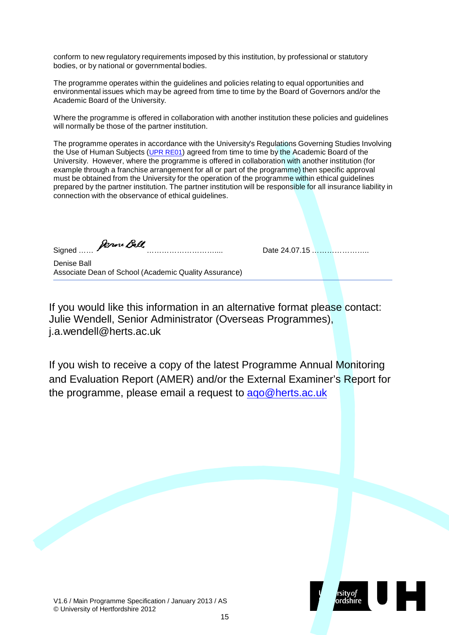conform to new regulatory requirements imposed by this institution, by professional or statutory bodies, or by national or governmental bodies.

The programme operates within the guidelines and policies relating to equal opportunities and environmental issues which may be agreed from time to time by the Board of Governors and/or the Academic Board of the University.

Where the programme is offered in collaboration with another institution these policies and guidelines will normally be those of the partner institution.

The programme operates in accordance with the University's Regulations Governing Studies Involving the Use of Human Subjects (UPR [RE01\)](http://sitem.herts.ac.uk/secreg/upr/RE01.htm) agreed from time to time by the Academic Board of the University. However, where the programme is offered in collaboration with another institution (for example through a franchise arrangement for all or part of the programme) then specific approval must be obtained from the University for the operation of the programme within ethical guidelines prepared by the partner institution. The partner institution will be responsible for all insurance liability in connection with the observance of ethical guidelines.

Signed …… ……………………….... Date 24.07.15 …………………..

Denise Ball Associate Dean of School (Academic Quality Assurance)

If you would like this information in an alternative format please contact: Julie Wendell, Senior Administrator (Overseas Programmes)[,](mailto:j.a.wendell@herts.ac.uk) [j.a.wendell@herts.ac.uk](mailto:j.a.wendell@herts.ac.uk)

If you wish to receive a copy of the latest Programme Annual Monitoring and Evaluation Report (AMER) and/or the External Examiner's Report for the programme, please email a request to ago@herts.ac.uk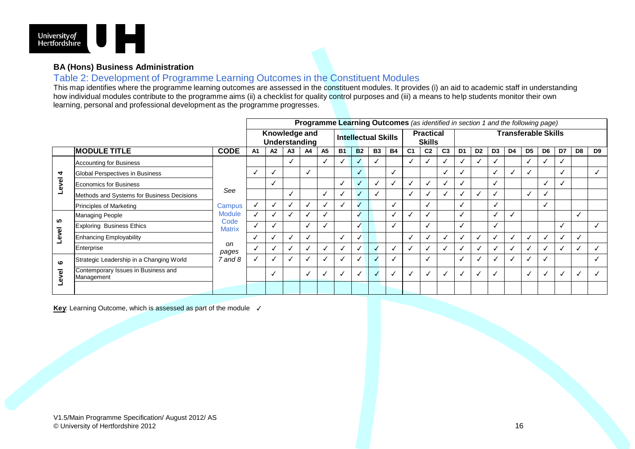

#### **BA (Hons) Business Administration**

#### Table 2: Development of Programme Learning Outcomes in the Constituent Modules

This map identifies where the programme learning outcomes are assessed in the constituent modules. It provides (i) an aid to academic staff in understanding how individual modules contribute to the programme aims (ii) a checklist for quality control purposes and (iii) a means to help students monitor their own learning, personal and professional development as the programme progresses.

|                              |                                                   |                        | Programme Learning Outcomes (as identified in section 1 and the following page) |    |                |                      |           |                                   |              |           |                            |                |                         |                |                |                      |                |    |                |                      |    |                |                |
|------------------------------|---------------------------------------------------|------------------------|---------------------------------------------------------------------------------|----|----------------|----------------------|-----------|-----------------------------------|--------------|-----------|----------------------------|----------------|-------------------------|----------------|----------------|----------------------|----------------|----|----------------|----------------------|----|----------------|----------------|
|                              |                                                   |                        | Knowledge and<br><b>Intellectual Skills</b><br>Understanding                    |    |                |                      |           | <b>Practical</b><br><b>Skills</b> |              |           | <b>Transferable Skills</b> |                |                         |                |                |                      |                |    |                |                      |    |                |                |
| <b>MODULE TITLE</b>          |                                                   | <b>CODE</b>            | A1                                                                              | A2 | A <sub>3</sub> | A4                   | <b>A5</b> | <b>B1</b>                         | <b>B2</b>    | <b>B3</b> | <b>B4</b>                  | C <sub>1</sub> | C <sub>2</sub>          | C <sub>3</sub> | D <sub>1</sub> | D <sub>2</sub>       | D <sub>3</sub> | D4 | D <sub>5</sub> | D <sub>6</sub>       | D7 | D <sub>8</sub> | D <sub>9</sub> |
|                              | Accounting for Business                           |                        |                                                                                 |    |                |                      |           |                                   | √            |           |                            | V              |                         |                |                |                      |                |    |                | $\ddot{\phantom{0}}$ |    |                |                |
| 4                            | Global Perspectives in Business                   |                        |                                                                                 |    |                | √                    |           |                                   | u            |           | √                          |                |                         | √              |                |                      |                |    | √              |                      |    |                |                |
| <b>Level</b>                 | Economics for Business                            |                        |                                                                                 |    |                |                      |           |                                   | Ñ            |           | √                          |                |                         | √              | √              |                      |                |    |                | √                    |    |                |                |
|                              | Methods and Systems for Business Decisions        | See                    |                                                                                 |    | √              |                      | ✓         |                                   |              |           |                            | √              |                         | √              | $\checkmark$   | $\ddot{\phantom{0}}$ |                |    | ✓              | $\checkmark$         |    |                |                |
|                              | Principles of Marketing                           | Campus                 | V                                                                               |    |                | √                    |           |                                   |              |           |                            |                |                         |                |                |                      |                |    |                | √                    |    |                |                |
| <b>40</b>                    | Managing People                                   | <b>Module</b><br>Code  |                                                                                 |    |                | $\checkmark$         |           |                                   | √            |           |                            |                |                         |                |                |                      |                |    |                |                      |    |                |                |
|                              | Exploring Business Ethics                         | <b>Matrix</b>          | $\checkmark$                                                                    |    |                | √                    |           |                                   | √            |           |                            |                | ◡                       |                |                |                      |                |    |                |                      |    |                |                |
| Level                        | Enhancing Employability                           |                        |                                                                                 |    |                | √                    |           |                                   | Ñ            |           |                            |                |                         |                |                | $\mathbf{v}$         |                |    |                | √                    |    |                |                |
|                              | Enterprise                                        | <sub>on</sub><br>pages | J                                                                               |    |                | $\ddot{\phantom{0}}$ |           |                                   | √            |           |                            |                |                         |                |                |                      |                |    |                | N                    |    |                |                |
| $\bullet$                    | Strategic Leadership in a Changing World          | $7$ and $8$            |                                                                                 |    | ◡              | √                    |           |                                   | $\checkmark$ |           | √                          |                | $\overline{\mathbf{v}}$ |                |                | ◡                    |                | ✓  | √              | √                    |    |                |                |
| $\overline{\mathbf{e}}$<br>چ | Contemporary Issues in Business and<br>Management |                        |                                                                                 | N  |                | √                    |           |                                   | V            |           |                            |                |                         |                |                | $\mathbf{v}$         |                |    | $\checkmark$   | $\mathbf{v}$         |    |                |                |
|                              |                                                   |                        |                                                                                 |    |                |                      |           |                                   |              |           |                            |                |                         |                |                |                      |                |    |                |                      |    |                |                |

Key: Learning Outcome, which is assessed as part of the module <del>√</del>